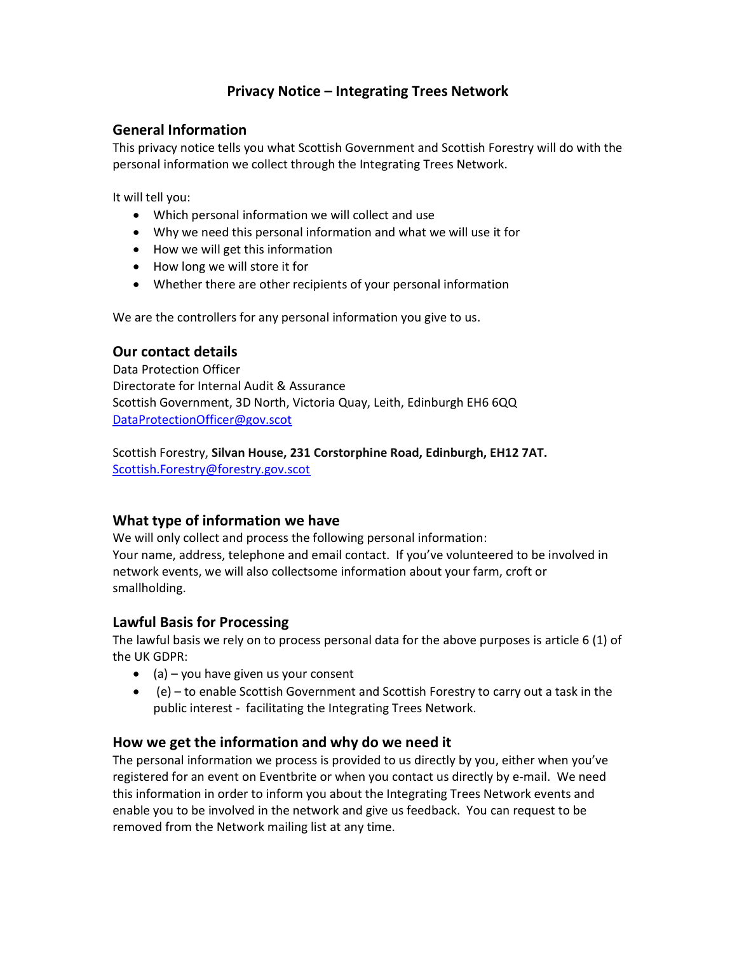# Privacy Notice – Integrating Trees Network

## General Information

This privacy notice tells you what Scottish Government and Scottish Forestry will do with the personal information we collect through the Integrating Trees Network.

It will tell you:

- Which personal information we will collect and use
- Why we need this personal information and what we will use it for
- How we will get this information
- How long we will store it for
- Whether there are other recipients of your personal information

We are the controllers for any personal information you give to us.

#### Our contact details

Data Protection Officer Directorate for Internal Audit & Assurance Scottish Government, 3D North, Victoria Quay, Leith, Edinburgh EH6 6QQ DataProtectionOfficer@gov.scot

Scottish Forestry, Silvan House, 231 Corstorphine Road, Edinburgh, EH12 7AT. Scottish.Forestry@forestry.gov.scot

## What type of information we have

We will only collect and process the following personal information: Your name, address, telephone and email contact. If you've volunteered to be involved in network events, we will also collectsome information about your farm, croft or smallholding.

## Lawful Basis for Processing

The lawful basis we rely on to process personal data for the above purposes is article 6 (1) of the UK GDPR:

- $\bullet$  (a) you have given us your consent
- (e) to enable Scottish Government and Scottish Forestry to carry out a task in the public interest - facilitating the Integrating Trees Network.

## How we get the information and why do we need it

The personal information we process is provided to us directly by you, either when you've registered for an event on Eventbrite or when you contact us directly by e-mail. We need this information in order to inform you about the Integrating Trees Network events and enable you to be involved in the network and give us feedback. You can request to be removed from the Network mailing list at any time.